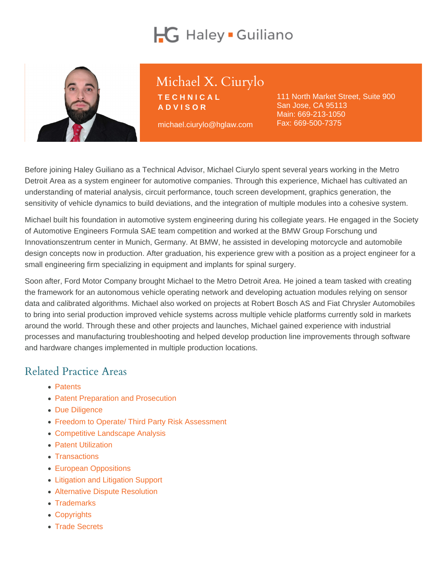# Michael X. Ciurylo

**TECHNICAL** ADVISOR

michael.ciurylo@hglaw.com

111 North Market Street, Suite 900 San Jose, CA 95113 Main: [669-213-1050](tel:+1-669-213-1050) Fax: 669-500-7375

Before joining Haley Guiliano as a Technical Advisor, Michael Ciurylo spent several years working in the Metro Detroit Area as a system engineer for automotive companies. Through this experience, Michael has cultivated an understanding of material analysis, circuit performance, touch screen development, graphics generation, the sensitivity of vehicle dynamics to build deviations, and the integration of multiple modules into a cohesive system.

Michael built his foundation in automotive system engineering during his collegiate years. He engaged in the Society of Automotive Engineers Formula SAE team competition and worked at the BMW Group Forschung und Innovationszentrum center in Munich, Germany. At BMW, he assisted in developing motorcycle and automobile design concepts now in production. After graduation, his experience grew with a position as a project engineer for a small engineering firm specializing in equipment and implants for spinal surgery.

Soon after, Ford Motor Company brought Michael to the Metro Detroit Area. He joined a team tasked with creating the framework for an autonomous vehicle operating network and developing actuation modules relying on sensor data and calibrated algorithms. Michael also worked on projects at Robert Bosch AS and Fiat Chrysler Automobiles to bring into serial production improved vehicle systems across multiple vehicle platforms currently sold in markets around the world. Through these and other projects and launches, Michael gained experience with industrial processes and manufacturing troubleshooting and helped develop production line improvements through software and hardware changes implemented in multiple production locations.

#### Related Practice Areas

- [Patents](https://www.hglaw.com/practice-areas/patents/)
- [Patent Preparation and Prosecution](https://www.hglaw.com/practice-areas/patents/patent-preparation-prosecution/)
- [Due Diligence](https://www.hglaw.com/practice-areas/strategic-counseling/due-diligence/)
- [Freedom to Operate/ Third Party Risk Assessment](https://www.hglaw.com/practice-areas/strategic-counseling/freedom-to-operate-third-party-risk-assessment/)
- [Competitive Landscape Analysis](https://www.hglaw.com/practice-areas/strategic-counseling/competitive-landscape-analysis/)
- [Patent Utilization](https://www.hglaw.com/practice-areas/strategic-counseling/patent-utilization/)
- [Transactions](https://www.hglaw.com/practice-areas/strategic-counseling/transactions/)
- [European Oppositions](https://www.hglaw.com/practice-areas/contested-proceedings/european-oppositions/)
- [Litigation and Litigation Support](https://www.hglaw.com/practice-areas/contested-proceedings/litigation-support/)
- [Alternative Dispute Resolution](https://www.hglaw.com/practice-areas/contested-proceedings/alternative-dispute-resolution/)
- [Trademarks](https://www.hglaw.com/practice-areas/trademarks/)
- [Copyrights](https://www.hglaw.com/practice-areas/copyrights/)
- [Trade Secrets](https://www.hglaw.com/practice-areas/trade-secrets/)